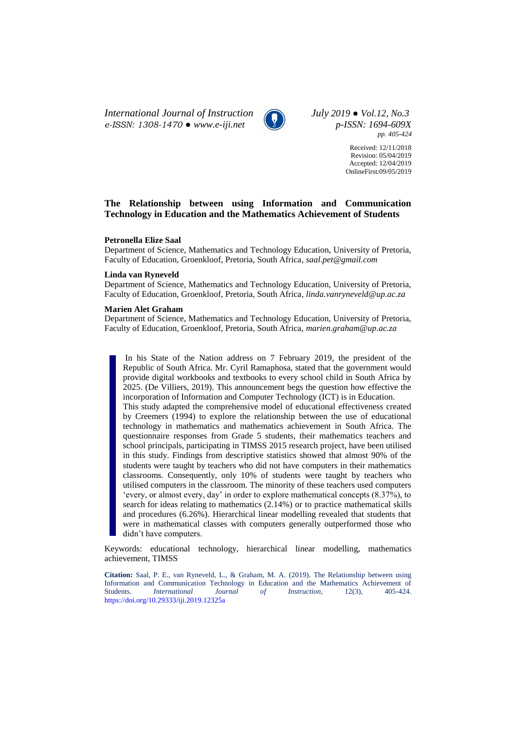*International Journal of Instruction July 2019 ● Vol.12, No.3 e-ISSN: 1308-1470 ● [www.e-iji.net](http://www.e-iji.net/) p-ISSN: 1694-609X*



*pp. 405-424*

Received: 12/11/2018 Revision: 05/04/2019 Accepted: 12/04/2019 OnlineFirst:09/05/2019

# **The Relationship between using Information and Communication Technology in Education and the Mathematics Achievement of Students**

### **Petronella Elize Saal**

Department of Science, Mathematics and Technology Education, University of Pretoria, Faculty of Education, Groenkloof, Pretoria, South Africa, *saal.pet@gmail.com*

### **Linda van Ryneveld**

Department of Science, Mathematics and Technology Education, University of Pretoria, Faculty of Education, Groenkloof, Pretoria, South Africa, *linda.vanryneveld@up.ac.za*

### **Marien Alet Graham**

Department of Science, Mathematics and Technology Education, University of Pretoria, Faculty of Education, Groenkloof, Pretoria, South Africa, *marien.graham@up.ac.za*

In his State of the Nation address on 7 February 2019, the president of the Republic of South Africa. Mr. Cyril Ramaphosa, stated that the government would provide digital workbooks and textbooks to every school child in South Africa by 2025. (De Villiers, 2019). This announcement begs the question how effective the incorporation of Information and Computer Technology (ICT) is in Education. This study adapted the comprehensive model of educational effectiveness created

by Creemers (1994) to explore the relationship between the use of educational technology in mathematics and mathematics achievement in South Africa. The questionnaire responses from Grade 5 students, their mathematics teachers and school principals, participating in TIMSS 2015 research project, have been utilised in this study. Findings from descriptive statistics showed that almost 90% of the students were taught by teachers who did not have computers in their mathematics classrooms. Consequently, only 10% of students were taught by teachers who utilised computers in the classroom. The minority of these teachers used computers 'every, or almost every, day' in order to explore mathematical concepts (8.37%), to search for ideas relating to mathematics (2.14%) or to practice mathematical skills and procedures (6.26%). Hierarchical linear modelling revealed that students that were in mathematical classes with computers generally outperformed those who didn't have computers.

Keywords: educational technology, hierarchical linear modelling, mathematics achievement, TIMSS

**Citation:** Saal, P. E., van Ryneveld, L., & Graham, M. A. (2019). The Relationship between using Information and Communication Technology in Education and the Mathematics Achievement of Students. *International Journal of Instruction*, 12(3), 405-424. Students. *International Journal of Instruction*, 12(3), <https://doi.org/10.29333/iji.2019.12325a>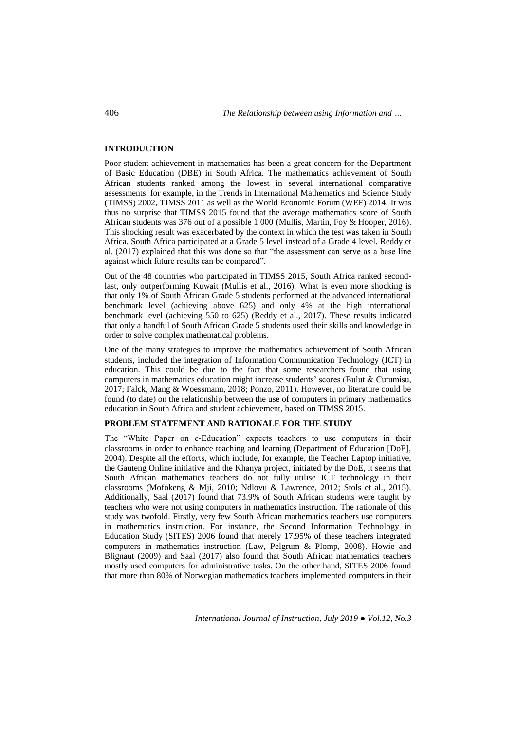## **INTRODUCTION**

Poor student achievement in mathematics has been a great concern for the Department of Basic Education (DBE) in South Africa. The mathematics achievement of South African students ranked among the lowest in several international comparative assessments, for example, in the Trends in International Mathematics and Science Study (TIMSS) 2002, TIMSS 2011 as well as the World Economic Forum (WEF) 2014. It was thus no surprise that TIMSS 2015 found that the average mathematics score of South African students was 376 out of a possible 1 000 (Mullis, Martin, Foy & Hooper, 2016). This shocking result was exacerbated by the context in which the test was taken in South Africa. South Africa participated at a Grade 5 level instead of a Grade 4 level. Reddy et al. (2017) explained that this was done so that "the assessment can serve as a base line against which future results can be compared".

Out of the 48 countries who participated in TIMSS 2015, South Africa ranked secondlast, only outperforming Kuwait (Mullis et al., 2016). What is even more shocking is that only 1% of South African Grade 5 students performed at the advanced international benchmark level (achieving above 625) and only 4% at the high international benchmark level (achieving 550 to 625) (Reddy et al., 2017). These results indicated that only a handful of South African Grade 5 students used their skills and knowledge in order to solve complex mathematical problems.

One of the many strategies to improve the mathematics achievement of South African students, included the integration of Information Communication Technology (ICT) in education. This could be due to the fact that some researchers found that using computers in mathematics education might increase students' scores (Bulut & Cutumisu, 2017; Falck, Mang & Woessmann, 2018; Ponzo, 2011). However, no literature could be found (to date) on the relationship between the use of computers in primary mathematics education in South Africa and student achievement, based on TIMSS 2015.

# **PROBLEM STATEMENT AND RATIONALE FOR THE STUDY**

The "White Paper on e-Education" expects teachers to use computers in their classrooms in order to enhance teaching and learning (Department of Education [DoE], 2004). Despite all the efforts, which include, for example, the Teacher Laptop initiative, the Gauteng Online initiative and the Khanya project, initiated by the DoE, it seems that South African mathematics teachers do not fully utilise ICT technology in their classrooms (Mofokeng & Mji, 2010; Ndlovu & Lawrence, 2012; Stols et al., 2015). Additionally, Saal (2017) found that 73.9% of South African students were taught by teachers who were not using computers in mathematics instruction. The rationale of this study was twofold. Firstly, very few South African mathematics teachers use computers in mathematics instruction. For instance, the Second Information Technology in Education Study (SITES) 2006 found that merely 17.95% of these teachers integrated computers in mathematics instruction (Law, Pelgrum & Plomp, 2008). Howie and Blignaut (2009) and Saal (2017) also found that South African mathematics teachers mostly used computers for administrative tasks. On the other hand, SITES 2006 found that more than 80% of Norwegian mathematics teachers implemented computers in their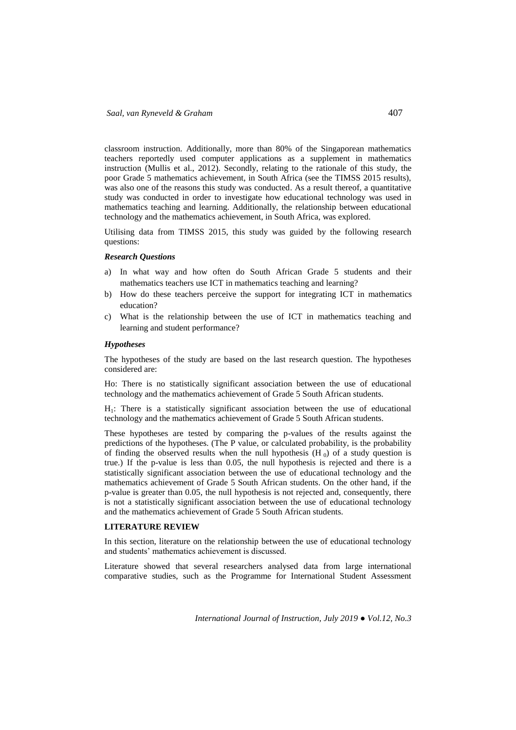classroom instruction. Additionally, more than 80% of the Singaporean mathematics teachers reportedly used computer applications as a supplement in mathematics instruction (Mullis et al., 2012). Secondly, relating to the rationale of this study, the poor Grade 5 mathematics achievement, in South Africa (see the TIMSS 2015 results), was also one of the reasons this study was conducted. As a result thereof, a quantitative study was conducted in order to investigate how educational technology was used in mathematics teaching and learning. Additionally, the relationship between educational technology and the mathematics achievement, in South Africa, was explored.

Utilising data from TIMSS 2015, this study was guided by the following research questions:

#### *Research Questions*

- a) In what way and how often do South African Grade 5 students and their mathematics teachers use ICT in mathematics teaching and learning?
- b) How do these teachers perceive the support for integrating ICT in mathematics education?
- c) What is the relationship between the use of ICT in mathematics teaching and learning and student performance?

#### *Hypotheses*

The hypotheses of the study are based on the last research question. The hypotheses considered are:

Ho: There is no statistically significant association between the use of educational technology and the mathematics achievement of Grade 5 South African students.

 $H<sub>1</sub>$ : There is a statistically significant association between the use of educational technology and the mathematics achievement of Grade 5 South African students.

These hypotheses are tested by comparing the p-values of the results against the predictions of the hypotheses. (The P value, or calculated probability, is the probability of finding the observed results when the null hypothesis  $(H_0)$  of a study question is true.) If the p-value is less than 0.05, the null hypothesis is rejected and there is a statistically significant association between the use of educational technology and the mathematics achievement of Grade 5 South African students. On the other hand, if the p-value is greater than 0.05, the null hypothesis is not rejected and, consequently, there is not a statistically significant association between the use of educational technology and the mathematics achievement of Grade 5 South African students.

### **LITERATURE REVIEW**

In this section, literature on the relationship between the use of educational technology and students' mathematics achievement is discussed.

Literature showed that several researchers analysed data from large international comparative studies, such as the Programme for International Student Assessment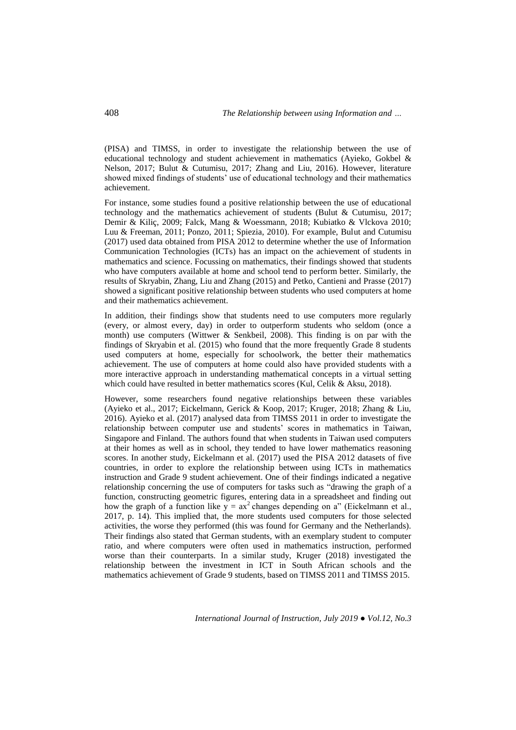(PISA) and TIMSS, in order to investigate the relationship between the use of educational technology and student achievement in mathematics (Ayieko, Gokbel & Nelson, 2017; Bulut & Cutumisu, 2017; Zhang and Liu, 2016). However, literature showed mixed findings of students' use of educational technology and their mathematics achievement.

For instance, some studies found a positive relationship between the use of educational technology and the mathematics achievement of students (Bulut & Cutumisu, 2017; Demir & Kiliç, 2009; Falck, Mang & Woessmann, 2018; Kubiatko & Vlckova 2010; Luu & Freeman, 2011; Ponzo, 2011; Spiezia, 2010). For example, Bulut and Cutumisu (2017) used data obtained from PISA 2012 to determine whether the use of Information Communication Technologies (ICTs) has an impact on the achievement of students in mathematics and science. Focussing on mathematics, their findings showed that students who have computers available at home and school tend to perform better. Similarly, the results of Skryabin, Zhang, Liu and Zhang (2015) and Petko, Cantieni and Prasse (2017) showed a significant positive relationship between students who used computers at home and their mathematics achievement.

In addition, their findings show that students need to use computers more regularly (every, or almost every, day) in order to outperform students who seldom (once a month) use computers (Wittwer  $\&$  Senkbeil, 2008). This finding is on par with the findings of Skryabin et al. (2015) who found that the more frequently Grade 8 students used computers at home, especially for schoolwork, the better their mathematics achievement. The use of computers at home could also have provided students with a more interactive approach in understanding mathematical concepts in a virtual setting which could have resulted in better mathematics scores (Kul, Celik & Aksu, 2018).

However, some researchers found negative relationships between these variables (Ayieko et al., 2017; Eickelmann, Gerick & Koop, 2017; Kruger, 2018; Zhang & Liu, 2016). Ayieko et al. (2017) analysed data from TIMSS 2011 in order to investigate the relationship between computer use and students' scores in mathematics in Taiwan, Singapore and Finland. The authors found that when students in Taiwan used computers at their homes as well as in school, they tended to have lower mathematics reasoning scores. In another study, Eickelmann et al. (2017) used the PISA 2012 datasets of five countries, in order to explore the relationship between using ICTs in mathematics instruction and Grade 9 student achievement. One of their findings indicated a negative relationship concerning the use of computers for tasks such as "drawing the graph of a function, constructing geometric figures, entering data in a spreadsheet and finding out how the graph of a function like  $y = ax^2$  changes depending on a" (Eickelmann et al., 2017, p. 14). This implied that, the more students used computers for those selected activities, the worse they performed (this was found for Germany and the Netherlands). Their findings also stated that German students, with an exemplary student to computer ratio, and where computers were often used in mathematics instruction, performed worse than their counterparts. In a similar study, Kruger (2018) investigated the relationship between the investment in ICT in South African schools and the mathematics achievement of Grade 9 students, based on TIMSS 2011 and TIMSS 2015.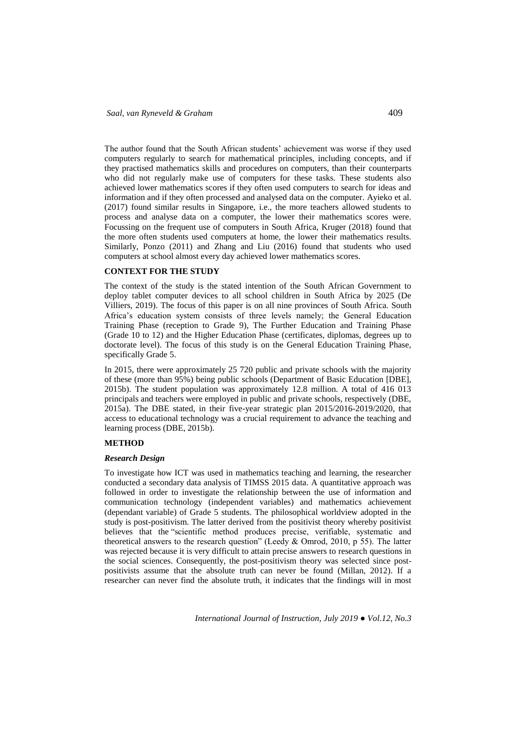The author found that the South African students' achievement was worse if they used computers regularly to search for mathematical principles, including concepts, and if they practised mathematics skills and procedures on computers, than their counterparts who did not regularly make use of computers for these tasks. These students also achieved lower mathematics scores if they often used computers to search for ideas and information and if they often processed and analysed data on the computer. Ayieko et al. (2017) found similar results in Singapore, i.e., the more teachers allowed students to process and analyse data on a computer, the lower their mathematics scores were. Focussing on the frequent use of computers in South Africa, Kruger (2018) found that the more often students used computers at home, the lower their mathematics results. Similarly, Ponzo (2011) and Zhang and Liu (2016) found that students who used computers at school almost every day achieved lower mathematics scores.

# **CONTEXT FOR THE STUDY**

The context of the study is the stated intention of the South African Government to deploy tablet computer devices to all school children in South Africa by 2025 (De Villiers, 2019). The focus of this paper is on all nine provinces of South Africa. South Africa's education system consists of three levels namely; the General Education Training Phase (reception to Grade 9), The Further Education and Training Phase (Grade 10 to 12) and the Higher Education Phase (certificates, diplomas, degrees up to doctorate level). The focus of this study is on the General Education Training Phase, specifically Grade 5.

In 2015, there were approximately 25 720 public and private schools with the majority of these (more than 95%) being public schools (Department of Basic Education [DBE], 2015b). The student population was approximately 12.8 million. A total of 416 013 principals and teachers were employed in public and private schools, respectively (DBE, 2015a). The DBE stated, in their five-year strategic plan 2015/2016-2019/2020, that access to educational technology was a crucial requirement to advance the teaching and learning process (DBE, 2015b).

## **METHOD**

## *Research Design*

To investigate how ICT was used in mathematics teaching and learning, the researcher conducted a secondary data analysis of TIMSS 2015 data. A quantitative approach was followed in order to investigate the relationship between the use of information and communication technology (independent variables) and mathematics achievement (dependant variable) of Grade 5 students. The philosophical worldview adopted in the study is post-positivism. The latter derived from the positivist theory whereby positivist believes that the "scientific method produces precise, verifiable, systematic and theoretical answers to the research question" (Leedy & Omrod, 2010, p 55). The latter was rejected because it is very difficult to attain precise answers to research questions in the social sciences. Consequently, the post-positivism theory was selected since postpositivists assume that the absolute truth can never be found (Millan, 2012). If a researcher can never find the absolute truth, it indicates that the findings will in most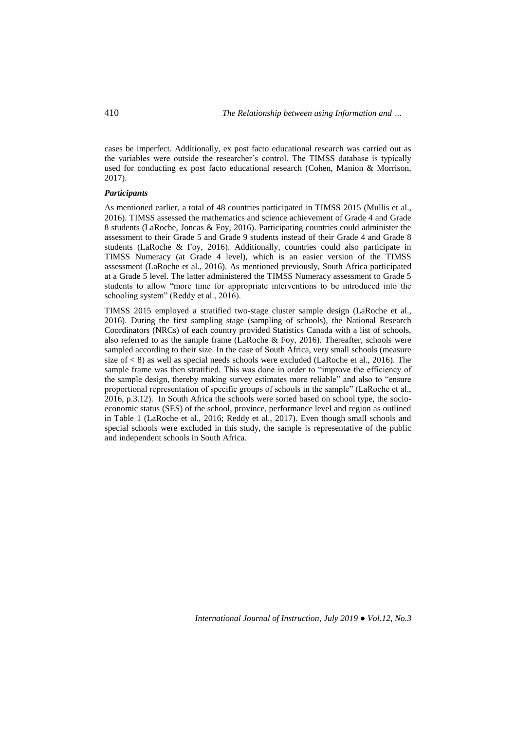cases be imperfect. Additionally, ex post facto educational research was carried out as the variables were outside the researcher's control. The TIMSS database is typically used for conducting ex post facto educational research (Cohen, Manion & Morrison, 2017).

### *Participants*

As mentioned earlier, a total of 48 countries participated in TIMSS 2015 (Mullis et al., 2016). TIMSS assessed the mathematics and science achievement of Grade 4 and Grade 8 students (LaRoche, Joncas & Foy, 2016). Participating countries could administer the assessment to their Grade 5 and Grade 9 students instead of their Grade 4 and Grade 8 students (LaRoche & Foy, 2016). Additionally, countries could also participate in TIMSS Numeracy (at Grade 4 level), which is an easier version of the TIMSS assessment (LaRoche et al., 2016). As mentioned previously, South Africa participated at a Grade 5 level. The latter administered the TIMSS Numeracy assessment to Grade 5 students to allow "more time for appropriate interventions to be introduced into the schooling system" (Reddy et al., 2016).

TIMSS 2015 employed a stratified two-stage cluster sample design (LaRoche et al., 2016). During the first sampling stage (sampling of schools), the National Research Coordinators (NRCs) of each country provided Statistics Canada with a list of schools, also referred to as the sample frame (LaRoche & Foy, 2016). Thereafter, schools were sampled according to their size. In the case of South Africa, very small schools (measure size of  $\lt 8$ ) as well as special needs schools were excluded (LaRoche et al., 2016). The sample frame was then stratified. This was done in order to "improve the efficiency of the sample design, thereby making survey estimates more reliable" and also to "ensure proportional representation of specific groups of schools in the sample" (LaRoche et al., 2016, p.3.12). In South Africa the schools were sorted based on school type, the socioeconomic status (SES) of the school, province, performance level and region as outlined in Table 1 (LaRoche et al., 2016; Reddy et al., 2017). Even though small schools and special schools were excluded in this study, the sample is representative of the public and independent schools in South Africa.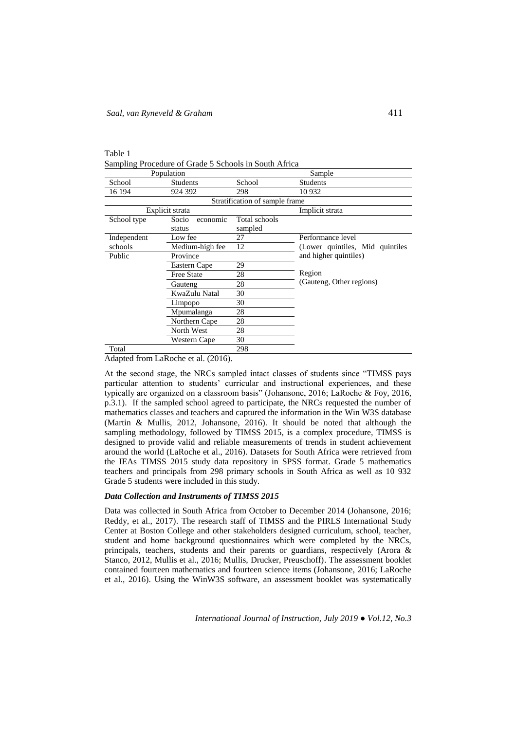| Table 1                                               |  |
|-------------------------------------------------------|--|
| Sampling Procedure of Grade 5 Schools in South Africa |  |

|             | Population        |                                | Sample                          |
|-------------|-------------------|--------------------------------|---------------------------------|
| School      | <b>Students</b>   | School                         | <b>Students</b>                 |
| 16 194      | 924 392           | 298                            | 10 932                          |
|             |                   | Stratification of sample frame |                                 |
|             | Explicit strata   |                                | Implicit strata                 |
| School type | Socio<br>economic | Total schools                  |                                 |
|             | status            | sampled                        |                                 |
| Independent | Low fee           | 27                             | Performance level               |
| schools     | Medium-high fee   | 12                             | (Lower quintiles, Mid quintiles |
| Public      | Province          |                                | and higher quintiles)           |
|             | Eastern Cape      | 29                             |                                 |
|             | <b>Free State</b> | 28                             | Region                          |
|             | Gauteng           | 28                             | (Gauteng, Other regions)        |
|             | KwaZulu Natal     | 30                             |                                 |
|             | Limpopo           | 30                             |                                 |
|             | Mpumalanga        | 28                             |                                 |
|             | Northern Cape     | 28                             |                                 |
|             | North West        | 28                             |                                 |
|             | Western Cape      | 30                             |                                 |
| Total       |                   | 298                            |                                 |

Adapted from LaRoche et al. (2016).

At the second stage, the NRCs sampled intact classes of students since "TIMSS pays particular attention to students' curricular and instructional experiences, and these typically are organized on a classroom basis" (Johansone, 2016; LaRoche & Foy, 2016, p.3.1). If the sampled school agreed to participate, the NRCs requested the number of mathematics classes and teachers and captured the information in the Win W3S database (Martin & Mullis, 2012, Johansone, 2016). It should be noted that although the sampling methodology, followed by TIMSS 2015, is a complex procedure, TIMSS is designed to provide valid and reliable measurements of trends in student achievement around the world (LaRoche et al., 2016). Datasets for South Africa were retrieved from the IEAs TIMSS 2015 study data repository in SPSS format. Grade 5 mathematics teachers and principals from 298 primary schools in South Africa as well as 10 932 Grade 5 students were included in this study.

### *Data Collection and Instruments of TIMSS 2015*

Data was collected in South Africa from October to December 2014 (Johansone, 2016; Reddy, et al., 2017). The research staff of TIMSS and the PIRLS International Study Center at Boston College and other stakeholders designed curriculum, school, teacher, student and home background questionnaires which were completed by the NRCs, principals, teachers, students and their parents or guardians, respectively (Arora & Stanco, 2012, Mullis et al., 2016; Mullis, Drucker, Preuschoff). The assessment booklet contained fourteen mathematics and fourteen science items (Johansone, 2016; LaRoche et al., 2016). Using the WinW3S software, an assessment booklet was systematically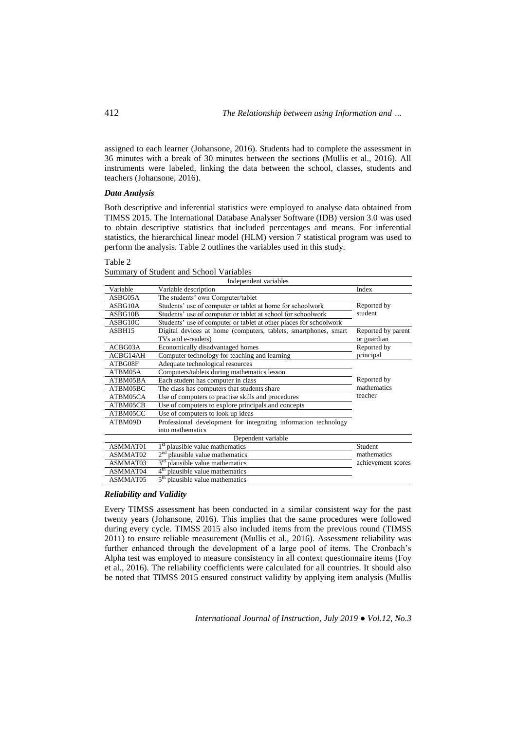assigned to each learner (Johansone, 2016). Students had to complete the assessment in 36 minutes with a break of 30 minutes between the sections (Mullis et al., 2016). All instruments were labeled, linking the data between the school, classes, students and teachers (Johansone, 2016).

### *Data Analysis*

Both descriptive and inferential statistics were employed to analyse data obtained from TIMSS 2015. The International Database Analyser Software (IDB) version 3.0 was used to obtain descriptive statistics that included percentages and means. For inferential statistics, the hierarchical linear model (HLM) version 7 statistical program was used to perform the analysis. Table 2 outlines the variables used in this study.

# Table 2

Summary of Student and School Variables

|          | Independent variables                                              |                    |
|----------|--------------------------------------------------------------------|--------------------|
| Variable | Variable description                                               | Index              |
| ASBG05A  | The students' own Computer/tablet                                  |                    |
| ASBG10A  | Students' use of computer or tablet at home for schoolwork         | Reported by        |
| ASBG10B  | Students' use of computer or tablet at school for schoolwork       | student            |
| ASBG10C  | Students' use of computer or tablet at other places for schoolwork |                    |
| ASBH15   | Digital devices at home (computers, tablets, smartphones, smart    | Reported by parent |
|          | TVs and e-readers)                                                 | or guardian        |
| ACBG03A  | Economically disadvantaged homes                                   | Reported by        |
| ACBG14AH | Computer technology for teaching and learning                      | principal          |
| ATBG08F  | Adequate technological resources                                   |                    |
| ATBM05A  | Computers/tablets during mathematics lesson                        |                    |
| ATBM05BA | Each student has computer in class                                 | Reported by        |
| ATBM05BC | The class has computers that students share                        | mathematics        |
| ATBM05CA | Use of computers to practise skills and procedures                 | teacher            |
| ATBM05CB | Use of computers to explore principals and concepts                |                    |
| ATBM05CC | Use of computers to look up ideas                                  |                    |
| ATBM09D  | Professional development for integrating information technology    |                    |
|          | into mathematics                                                   |                    |
|          | Dependent variable                                                 |                    |
| ASMMAT01 | 1 <sup>st</sup> plausible value mathematics                        | Student            |
| ASMMAT02 | 2 <sub>nd</sub><br>plausible value mathematics                     | mathematics        |
| ASMMAT03 | $3^{rd}$<br>plausible value mathematics                            | achievement scores |
| ASMMAT04 | $4^{\text{th}}$<br>plausible value mathematics                     |                    |
| ASMMAT05 | 5 <sup>th</sup> plausible value mathematics                        |                    |

## *Reliability and Validity*

Every TIMSS assessment has been conducted in a similar consistent way for the past twenty years (Johansone, 2016). This implies that the same procedures were followed during every cycle. TIMSS 2015 also included items from the previous round (TIMSS 2011) to ensure reliable measurement (Mullis et al., 2016). Assessment reliability was further enhanced through the development of a large pool of items. The Cronbach's Alpha test was employed to measure consistency in all context questionnaire items (Foy et al., 2016). The reliability coefficients were calculated for all countries. It should also be noted that TIMSS 2015 ensured construct validity by applying item analysis (Mullis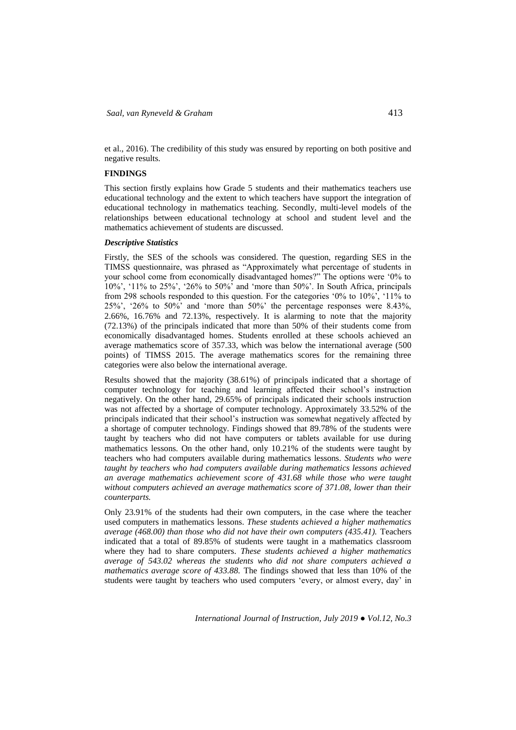et al., 2016). The credibility of this study was ensured by reporting on both positive and negative results.

### **FINDINGS**

This section firstly explains how Grade 5 students and their mathematics teachers use educational technology and the extent to which teachers have support the integration of educational technology in mathematics teaching. Secondly, multi-level models of the relationships between educational technology at school and student level and the mathematics achievement of students are discussed.

### *Descriptive Statistics*

Firstly, the SES of the schools was considered. The question, regarding SES in the TIMSS questionnaire, was phrased as "Approximately what percentage of students in your school come from economically disadvantaged homes?" The options were '0% to 10%', '11% to 25%', '26% to 50%' and 'more than 50%'. In South Africa, principals from 298 schools responded to this question. For the categories '0% to 10%', '11% to 25%', '26% to 50%' and 'more than 50%' the percentage responses were 8.43%, 2.66%, 16.76% and 72.13%, respectively. It is alarming to note that the majority (72.13%) of the principals indicated that more than 50% of their students come from economically disadvantaged homes. Students enrolled at these schools achieved an average mathematics score of 357.33, which was below the international average (500 points) of TIMSS 2015. The average mathematics scores for the remaining three categories were also below the international average.

Results showed that the majority (38.61%) of principals indicated that a shortage of computer technology for teaching and learning affected their school's instruction negatively. On the other hand, 29.65% of principals indicated their schools instruction was not affected by a shortage of computer technology. Approximately 33.52% of the principals indicated that their school's instruction was somewhat negatively affected by a shortage of computer technology. Findings showed that 89.78% of the students were taught by teachers who did not have computers or tablets available for use during mathematics lessons. On the other hand, only 10.21% of the students were taught by teachers who had computers available during mathematics lessons. *Students who were taught by teachers who had computers available during mathematics lessons achieved an average mathematics achievement score of 431.68 while those who were taught without computers achieved an average mathematics score of 371.08, lower than their counterparts.*

Only 23.91% of the students had their own computers, in the case where the teacher used computers in mathematics lessons. *These students achieved a higher mathematics average (468.00) than those who did not have their own computers (435.41).* Teachers indicated that a total of 89.85% of students were taught in a mathematics classroom where they had to share computers. *These students achieved a higher mathematics average of 543.02 whereas the students who did not share computers achieved a mathematics average score of 433.88.* The findings showed that less than 10% of the students were taught by teachers who used computers 'every, or almost every, day' in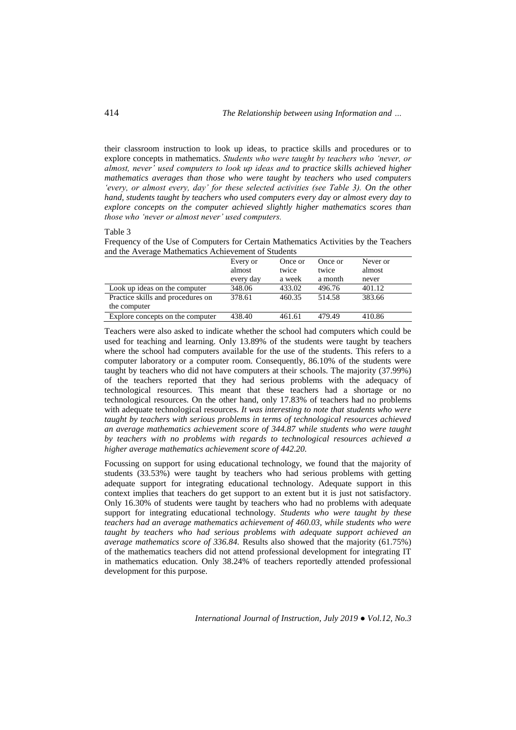their classroom instruction to look up ideas, to practice skills and procedures or to explore concepts in mathematics. *Students who were taught by teachers who 'never, or almost, never' used computers to look up ideas and to practice skills achieved higher mathematics averages than those who were taught by teachers who used computers 'every, or almost every, day' for these selected activities (see Table 3). On the other hand, students taught by teachers who used computers every day or almost every day to explore concepts on the computer achieved slightly higher mathematics scores than those who 'never or almost never' used computers.*

### Table 3

Frequency of the Use of Computers for Certain Mathematics Activities by the Teachers and the Average Mathematics Achievement of Students

|                                   | Every or  | Once or | Once or | Never or |
|-----------------------------------|-----------|---------|---------|----------|
|                                   | almost    | twice   | twice   | almost   |
|                                   | every day | a week  | a month | never    |
| Look up ideas on the computer     | 348.06    | 433.02  | 496.76  | 401.12   |
| Practice skills and procedures on | 378.61    | 460.35  | 514.58  | 383.66   |
| the computer                      |           |         |         |          |
| Explore concepts on the computer  | 438.40    | 461.61  | 479.49  | 410.86   |

Teachers were also asked to indicate whether the school had computers which could be used for teaching and learning. Only 13.89% of the students were taught by teachers where the school had computers available for the use of the students. This refers to a computer laboratory or a computer room. Consequently, 86.10% of the students were taught by teachers who did not have computers at their schools. The majority (37.99%) of the teachers reported that they had serious problems with the adequacy of technological resources. This meant that these teachers had a shortage or no technological resources. On the other hand, only 17.83% of teachers had no problems with adequate technological resources. *It was interesting to note that students who were taught by teachers with serious problems in terms of technological resources achieved an average mathematics achievement score of 344.87 while students who were taught by teachers with no problems with regards to technological resources achieved a higher average mathematics achievement score of 442.20.*

Focussing on support for using educational technology, we found that the majority of students (33.53%) were taught by teachers who had serious problems with getting adequate support for integrating educational technology. Adequate support in this context implies that teachers do get support to an extent but it is just not satisfactory. Only 16.30% of students were taught by teachers who had no problems with adequate support for integrating educational technology. *Students who were taught by these teachers had an average mathematics achievement of 460.03, while students who were taught by teachers who had serious problems with adequate support achieved an average mathematics score of 336.84.* Results also showed that the majority (61.75%) of the mathematics teachers did not attend professional development for integrating IT in mathematics education. Only 38.24% of teachers reportedly attended professional development for this purpose.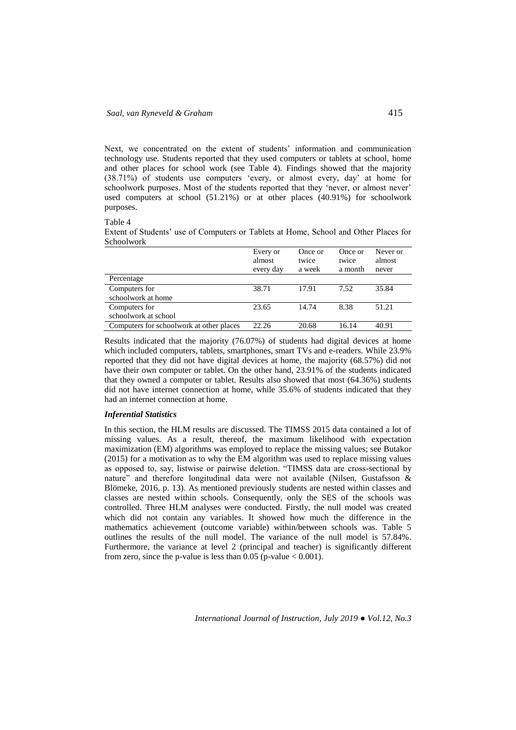Next, we concentrated on the extent of students' information and communication technology use. Students reported that they used computers or tablets at school, home and other places for school work (see Table 4). Findings showed that the majority (38.71%) of students use computers 'every, or almost every, day' at home for schoolwork purposes. Most of the students reported that they 'never, or almost never' used computers at school  $(51.21\%)$  or at other places  $(40.91\%)$  for schoolwork purposes.

## Table 4

Extent of Students' use of Computers or Tablets at Home, School and Other Places for Schoolwork

|                                          | Every or<br>almost<br>every day | Once or<br>twice<br>a week | Once or<br>twice<br>a month | Never or<br>almost<br>never |
|------------------------------------------|---------------------------------|----------------------------|-----------------------------|-----------------------------|
| Percentage                               |                                 |                            |                             |                             |
| Computers for                            | 38.71                           | 17.91                      | 7.52                        | 35.84                       |
| schoolwork at home                       |                                 |                            |                             |                             |
| Computers for                            | 23.65                           | 14.74                      | 8.38                        | 51.21                       |
| schoolwork at school                     |                                 |                            |                             |                             |
| Computers for schoolwork at other places | 22.26                           | 20.68                      | 16.14                       | 40.91                       |

Results indicated that the majority (76.07%) of students had digital devices at home which included computers, tablets, smartphones, smart TVs and e-readers. While 23.9% reported that they did not have digital devices at home, the majority (68.57%) did not have their own computer or tablet. On the other hand, 23.91% of the students indicated that they owned a computer or tablet. Results also showed that most (64.36%) students did not have internet connection at home, while 35.6% of students indicated that they had an internet connection at home.

### *Inferential Statistics*

In this section, the HLM results are discussed. The TIMSS 2015 data contained a lot of missing values. As a result, thereof, the maximum likelihood with expectation maximization (EM) algorithms was employed to replace the missing values; see Butakor (2015) for a motivation as to why the EM algorithm was used to replace missing values as opposed to, say, listwise or pairwise deletion. "TIMSS data are cross-sectional by nature" and therefore longitudinal data were not available (Nilsen, Gustafsson & Blömeke, 2016, p. 13). As mentioned previously students are nested within classes and classes are nested within schools. Consequently, only the SES of the schools was controlled. Three HLM analyses were conducted. Firstly, the null model was created which did not contain any variables. It showed how much the difference in the mathematics achievement (outcome variable) within/between schools was. Table 5 outlines the results of the null model. The variance of the null model is 57.84%. Furthermore, the variance at level 2 (principal and teacher) is significantly different from zero, since the p-value is less than  $0.05$  (p-value  $< 0.001$ ).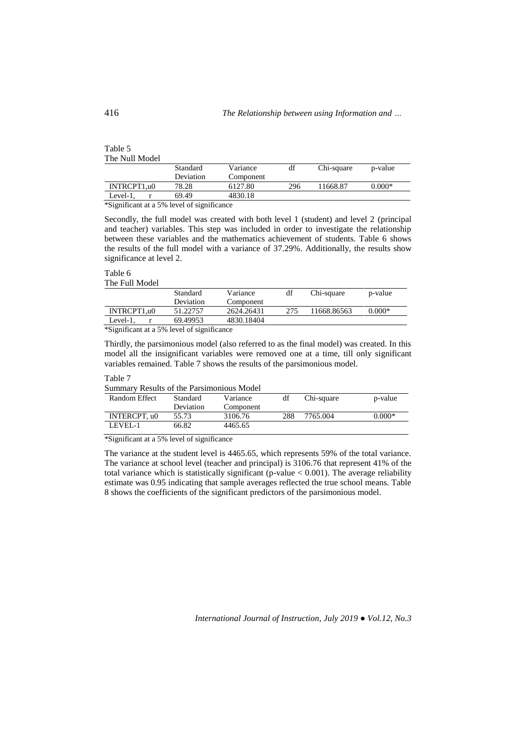## Table 5 The Null Model

|                        | Standard<br>Deviation | Variance<br>Component | df  | Chi-square | p-value  |
|------------------------|-----------------------|-----------------------|-----|------------|----------|
| INTRCPT1,u0            | 78.28                 | 6127.80               | 296 | 11668.87   | $0.000*$ |
| Level-1.               | 69.49                 | 4830.18               |     |            |          |
| $\cdots$ $\sim$ $\sim$ | $\cdot$ $\sim$        |                       |     |            |          |

\*Significant at a 5% level of significance

Secondly, the full model was created with both level 1 (student) and level 2 (principal and teacher) variables. This step was included in order to investigate the relationship between these variables and the mathematics achievement of students. Table 6 shows the results of the full model with a variance of 37.29%. Additionally, the results show significance at level 2.

# Table 6

The Full Model

|                                                         | Standard<br>Deviation | Variance<br>Component | df  | Chi-square  | p-value  |
|---------------------------------------------------------|-----------------------|-----------------------|-----|-------------|----------|
| INTRCPT1.u0                                             | 51.22757              | 2624.26431            | 275 | 11668.86563 | $0.000*$ |
| Level- $1$ ,                                            | 69.49953              | 4830.18404            |     |             |          |
| $\frac{1}{2}$ Significant at a 5% level of significance |                       |                       |     |             |          |

\*Significant at a 5% level of significance

Thirdly, the parsimonious model (also referred to as the final model) was created. In this model all the insignificant variables were removed one at a time, till only significant variables remained. Table 7 shows the results of the parsimonious model.

#### Table 7

Summary Results of the Parsimonious Model

| Dunmary Results of the Farshhomous Mouer |           |           |     |            |          |
|------------------------------------------|-----------|-----------|-----|------------|----------|
| Random Effect                            | Standard  | Variance  | df  | Chi-square | p-value  |
|                                          | Deviation | Component |     |            |          |
| INTERCPT.u0                              | 55.73     | 3106.76   | 288 | 7765.004   | $0.000*$ |
| LEVEL-1                                  | 66.82     | 4465.65   |     |            |          |
|                                          | .         |           |     |            |          |

\*Significant at a 5% level of significance

The variance at the student level is 4465.65, which represents 59% of the total variance. The variance at school level (teacher and principal) is 3106.76 that represent 41% of the total variance which is statistically significant (p-value  $< 0.001$ ). The average reliability estimate was 0.95 indicating that sample averages reflected the true school means. Table 8 shows the coefficients of the significant predictors of the parsimonious model.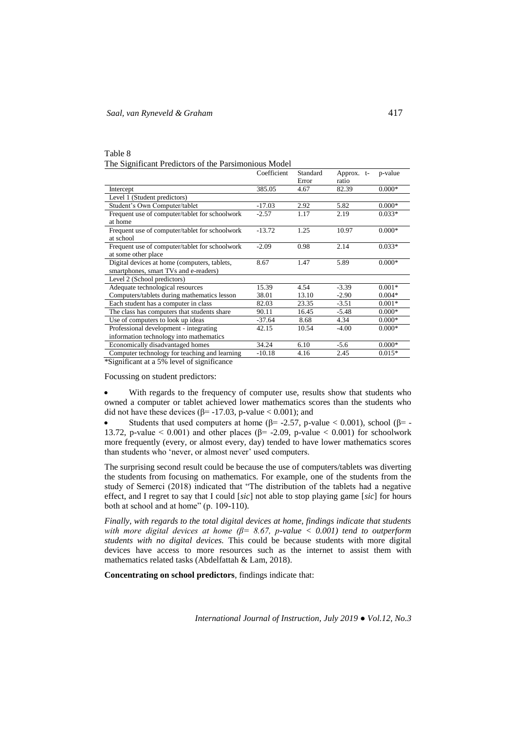| Table 8                                              |
|------------------------------------------------------|
| The Significant Predictors of the Parsimonious Model |

|                                                | Coefficient | Standard | Approx. t- | p-value  |
|------------------------------------------------|-------------|----------|------------|----------|
|                                                |             | Error    | ratio      |          |
| Intercept                                      | 385.05      | 4.67     | 82.39      | $0.000*$ |
| Level 1 (Student predictors)                   |             |          |            |          |
| Student's Own Computer/tablet                  | $-17.03$    | 2.92     | 5.82       | $0.000*$ |
| Frequent use of computer/tablet for schoolwork | $-2.57$     | 1.17     | 2.19       | $0.033*$ |
| at home                                        |             |          |            |          |
| Frequent use of computer/tablet for schoolwork | $-13.72$    | 1.25     | 10.97      | $0.000*$ |
| at school                                      |             |          |            |          |
| Frequent use of computer/tablet for schoolwork | $-2.09$     | 0.98     | 2.14       | $0.033*$ |
| at some other place                            |             |          |            |          |
| Digital devices at home (computers, tablets,   | 8.67        | 1.47     | 5.89       | $0.000*$ |
| smartphones, smart TVs and e-readers)          |             |          |            |          |
| Level 2 (School predictors)                    |             |          |            |          |
| Adequate technological resources               | 15.39       | 4.54     | $-3.39$    | $0.001*$ |
| Computers/tablets during mathematics lesson    | 38.01       | 13.10    | $-2.90$    | $0.004*$ |
| Each student has a computer in class           | 82.03       | 23.35    | $-3.51$    | $0.001*$ |
| The class has computers that students share    | 90.11       | 16.45    | $-5.48$    | $0.000*$ |
| Use of computers to look up ideas              | $-37.64$    | 8.68     | 4.34       | $0.000*$ |
| Professional development - integrating         | 42.15       | 10.54    | $-4.00$    | $0.000*$ |
| information technology into mathematics        |             |          |            |          |
| Economically disadvantaged homes               | 34.24       | 6.10     | $-5.6$     | $0.000*$ |
| Computer technology for teaching and learning  | $-10.18$    | 4.16     | 2.45       | $0.015*$ |
| $\sim$ $\sim$ $\sim$ $\sim$ $\sim$ $\sim$      |             |          |            |          |

\*Significant at a 5% level of significance

Focussing on student predictors:

 With regards to the frequency of computer use, results show that students who owned a computer or tablet achieved lower mathematics scores than the students who did not have these devices ( $\beta$ = -17.03, p-value < 0.001); and

Students that used computers at home ( $\beta$ = -2.57, p-value < 0.001), school ( $\beta$ = -13.72, p-value  $\leq 0.001$ ) and other places ( $\beta$ = -2.09, p-value  $\lt 0.001$ ) for schoolwork more frequently (every, or almost every, day) tended to have lower mathematics scores than students who 'never, or almost never' used computers.

The surprising second result could be because the use of computers/tablets was diverting the students from focusing on mathematics. For example, one of the students from the study of Semerci (2018) indicated that "The distribution of the tablets had a negative effect, and I regret to say that I could [*sic*] not able to stop playing game [*sic*] for hours both at school and at home" (p. 109-110).

*Finally, with regards to the total digital devices at home, findings indicate that students with more digital devices at home (β= 8.67, p-value < 0.001) tend to outperform students with no digital devices.* This could be because students with more digital devices have access to more resources such as the internet to assist them with mathematics related tasks (Abdelfattah & Lam, 2018).

**Concentrating on school predictors**, findings indicate that: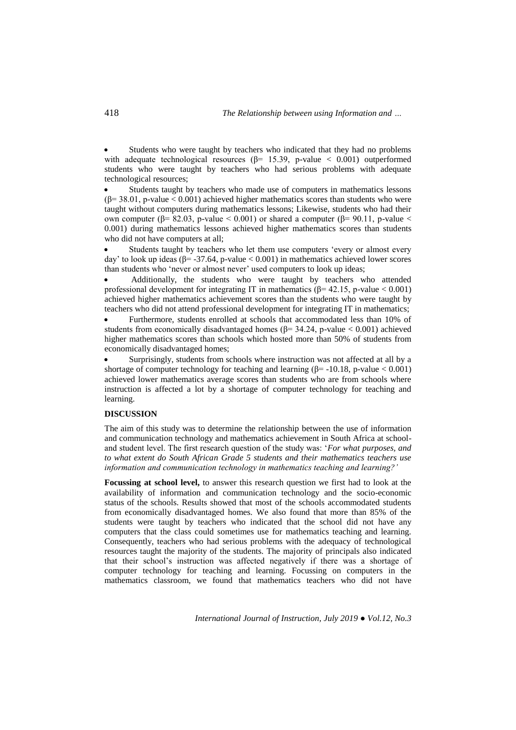Students who were taught by teachers who indicated that they had no problems with adequate technological resources ( $\beta$ = 15.39, p-value < 0.001) outperformed students who were taught by teachers who had serious problems with adequate technological resources;

 Students taught by teachers who made use of computers in mathematics lessons  $(\beta = 38.01, p-value < 0.001)$  achieved higher mathematics scores than students who were taught without computers during mathematics lessons; Likewise, students who had their own computer (β= 82.03, p-value  $\lt$  0.001) or shared a computer (β= 90.11, p-value  $\lt$ 0.001) during mathematics lessons achieved higher mathematics scores than students who did not have computers at all;

 Students taught by teachers who let them use computers 'every or almost every day' to look up ideas ( $\beta$ = -37.64, p-value < 0.001) in mathematics achieved lower scores than students who 'never or almost never' used computers to look up ideas;

 Additionally, the students who were taught by teachers who attended professional development for integrating IT in mathematics (β= 42.15, p-value < 0.001) achieved higher mathematics achievement scores than the students who were taught by teachers who did not attend professional development for integrating IT in mathematics;

 Furthermore, students enrolled at schools that accommodated less than 10% of students from economically disadvantaged homes ( $\beta$ = 34.24, p-value < 0.001) achieved higher mathematics scores than schools which hosted more than 50% of students from economically disadvantaged homes;

 Surprisingly, students from schools where instruction was not affected at all by a shortage of computer technology for teaching and learning ( $\beta$ = -10.18, p-value < 0.001) achieved lower mathematics average scores than students who are from schools where instruction is affected a lot by a shortage of computer technology for teaching and learning.

## **DISCUSSION**

The aim of this study was to determine the relationship between the use of information and communication technology and mathematics achievement in South Africa at schooland student level. The first research question of the study was: '*For what purposes, and to what extent do South African Grade 5 students and their mathematics teachers use information and communication technology in mathematics teaching and learning?'* 

**Focussing at school level,** to answer this research question we first had to look at the availability of information and communication technology and the socio-economic status of the schools. Results showed that most of the schools accommodated students from economically disadvantaged homes. We also found that more than 85% of the students were taught by teachers who indicated that the school did not have any computers that the class could sometimes use for mathematics teaching and learning. Consequently, teachers who had serious problems with the adequacy of technological resources taught the majority of the students. The majority of principals also indicated that their school's instruction was affected negatively if there was a shortage of computer technology for teaching and learning. Focussing on computers in the mathematics classroom, we found that mathematics teachers who did not have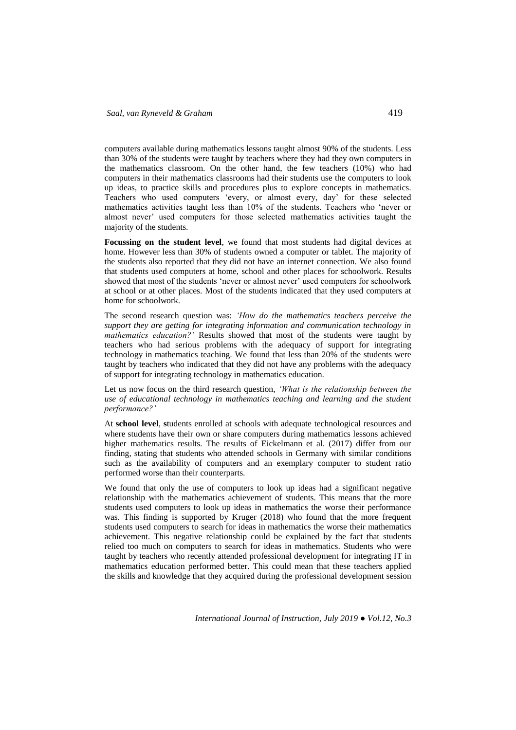computers available during mathematics lessons taught almost 90% of the students. Less than 30% of the students were taught by teachers where they had they own computers in the mathematics classroom. On the other hand, the few teachers (10%) who had computers in their mathematics classrooms had their students use the computers to look up ideas, to practice skills and procedures plus to explore concepts in mathematics. Teachers who used computers 'every, or almost every, day' for these selected mathematics activities taught less than 10% of the students. Teachers who 'never or almost never' used computers for those selected mathematics activities taught the majority of the students.

**Focussing on the student level**, we found that most students had digital devices at home. However less than 30% of students owned a computer or tablet. The majority of the students also reported that they did not have an internet connection. We also found that students used computers at home, school and other places for schoolwork. Results showed that most of the students 'never or almost never' used computers for schoolwork at school or at other places. Most of the students indicated that they used computers at home for schoolwork.

The second research question was: *'How do the mathematics teachers perceive the support they are getting for integrating information and communication technology in mathematics education?'* Results showed that most of the students were taught by teachers who had serious problems with the adequacy of support for integrating technology in mathematics teaching. We found that less than 20% of the students were taught by teachers who indicated that they did not have any problems with the adequacy of support for integrating technology in mathematics education.

Let us now focus on the third research question, *'What is the relationship between the use of educational technology in mathematics teaching and learning and the student performance?'*

At **school level**, **s**tudents enrolled at schools with adequate technological resources and where students have their own or share computers during mathematics lessons achieved higher mathematics results. The results of Eickelmann et al. (2017) differ from our finding, stating that students who attended schools in Germany with similar conditions such as the availability of computers and an exemplary computer to student ratio performed worse than their counterparts.

We found that only the use of computers to look up ideas had a significant negative relationship with the mathematics achievement of students. This means that the more students used computers to look up ideas in mathematics the worse their performance was. This finding is supported by Kruger (2018) who found that the more frequent students used computers to search for ideas in mathematics the worse their mathematics achievement. This negative relationship could be explained by the fact that students relied too much on computers to search for ideas in mathematics. Students who were taught by teachers who recently attended professional development for integrating IT in mathematics education performed better. This could mean that these teachers applied the skills and knowledge that they acquired during the professional development session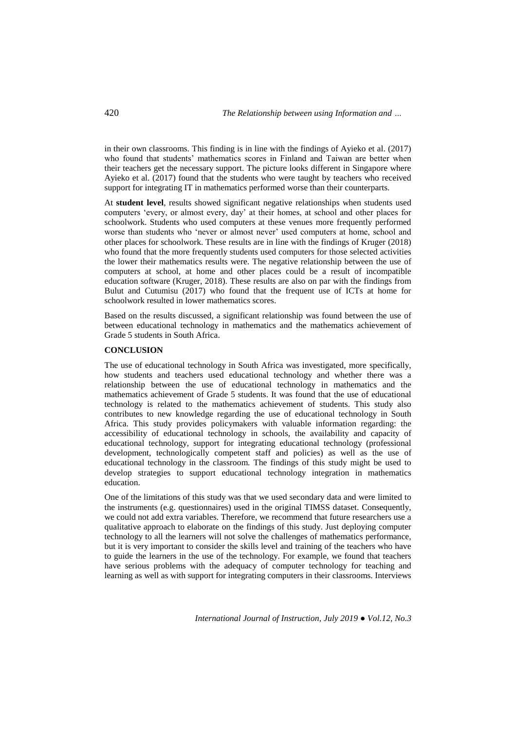in their own classrooms. This finding is in line with the findings of Ayieko et al. (2017) who found that students' mathematics scores in Finland and Taiwan are better when their teachers get the necessary support. The picture looks different in Singapore where Ayieko et al. (2017) found that the students who were taught by teachers who received support for integrating IT in mathematics performed worse than their counterparts.

At **student level**, results showed significant negative relationships when students used computers 'every, or almost every, day' at their homes, at school and other places for schoolwork. Students who used computers at these venues more frequently performed worse than students who 'never or almost never' used computers at home, school and other places for schoolwork. These results are in line with the findings of Kruger (2018) who found that the more frequently students used computers for those selected activities the lower their mathematics results were. The negative relationship between the use of computers at school, at home and other places could be a result of incompatible education software (Kruger, 2018). These results are also on par with the findings from Bulut and Cutumisu (2017) who found that the frequent use of ICTs at home for schoolwork resulted in lower mathematics scores.

Based on the results discussed, a significant relationship was found between the use of between educational technology in mathematics and the mathematics achievement of Grade 5 students in South Africa.

### **CONCLUSION**

The use of educational technology in South Africa was investigated, more specifically, how students and teachers used educational technology and whether there was a relationship between the use of educational technology in mathematics and the mathematics achievement of Grade 5 students. It was found that the use of educational technology is related to the mathematics achievement of students. This study also contributes to new knowledge regarding the use of educational technology in South Africa. This study provides policymakers with valuable information regarding: the accessibility of educational technology in schools, the availability and capacity of educational technology, support for integrating educational technology (professional development, technologically competent staff and policies) as well as the use of educational technology in the classroom. The findings of this study might be used to develop strategies to support educational technology integration in mathematics education.

One of the limitations of this study was that we used secondary data and were limited to the instruments (e.g. questionnaires) used in the original TIMSS dataset. Consequently, we could not add extra variables. Therefore, we recommend that future researchers use a qualitative approach to elaborate on the findings of this study. Just deploying computer technology to all the learners will not solve the challenges of mathematics performance, but it is very important to consider the skills level and training of the teachers who have to guide the learners in the use of the technology. For example, we found that teachers have serious problems with the adequacy of computer technology for teaching and learning as well as with support for integrating computers in their classrooms. Interviews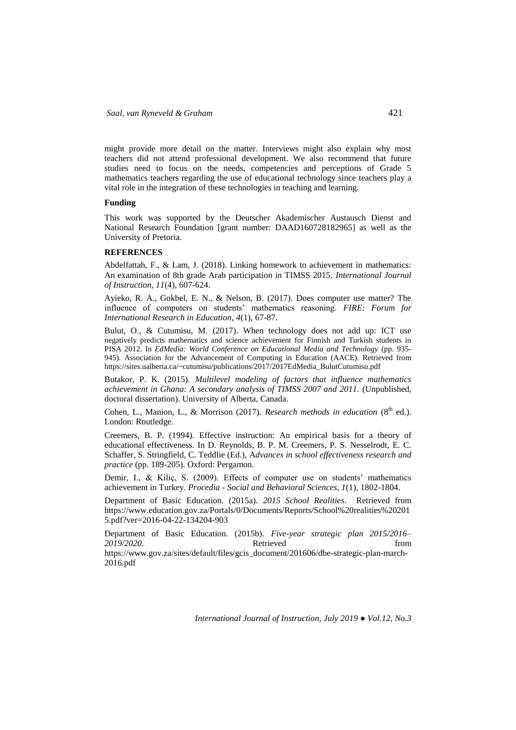might provide more detail on the matter. Interviews might also explain why most teachers did not attend professional development. We also recommend that future studies need to focus on the needs, competencies and perceptions of Grade 5 mathematics teachers regarding the use of educational technology since teachers play a vital role in the integration of these technologies in teaching and learning.

## **Funding**

This work was supported by the Deutscher Akademischer Austausch Dienst and National Research Foundation [grant number: DAAD160728182965] as well as the University of Pretoria.

## **REFERENCES**

Abdelfattah, F., & Lam, J. (2018). Linking homework to achievement in mathematics: An examination of 8th grade Arab participation in TIMSS 2015. *International Journal of Instruction, 11*(4), 607-624.

Ayieko, R. A., Gokbel, E. N., & Nelson, B. (2017). Does computer use matter? The influence of computers on students' mathematics reasoning. *FIRE: Forum for International Research in Education*, *4*(1), 67-87.

Bulut, O., & Cutumisu, M. (2017). When technology does not add up: ICT use negatively predicts mathematics and science achievement for Finnish and Turkish students in PISA 2012. In *EdMedia: World Conference on Educational Media and Technology* (pp. 935- 945). Association for the Advancement of Computing in Education (AACE). Retrieved from https://sites.ualberta.ca/~cutumisu/publications/2017/2017EdMedia\_BulutCutumisu.pdf

Butakor, P. K. (2015). *Multilevel modeling of factors that influence mathematics achievement in Ghana: A secondary analysis of TIMSS 2007 and 2011.* (Unpublished, doctoral dissertation). University of Alberta, Canada.

Cohen, L., Manion, L., & Morrison (2017). *Research methods in education* (8<sup>th</sup> ed.). London: Routledge.

Creemers, B. P. (1994). Effective instruction: An empirical basis for a theory of educational effectiveness. In D. Reynolds, B. P. M. Creemers, P. S. Nesselrodt, E. C. Schaffer, S. Stringfield, C. Teddlie (Ed.), A*dvances in school effectiveness research and practice* (pp. 189-205). Oxford: Pergamon.

Demir, I., & Kiliç, S. (2009). Effects of computer use on students' mathematics achievement in Turkey. *Procedia - Social and Behavioral Sciences, 1*(1), 1802-1804.

Department of Basic Education. (2015a). *2015 School Realities*. Retrieved from https://www.education.gov.za/Portals/0/Documents/Reports/School%20realities%20201 5.pdf?ver=2016-04-22-134204-903

Department of Basic Education. (2015b). *Five-year strategic plan 2015/2016–* **2019/2020.** Retrieved **https://www.frommuniter.org/2019/2020**. **Retrieved from** 

https://www.gov.za/sites/default/files/gcis\_document/201606/dbe-strategic-plan-march-2016.pdf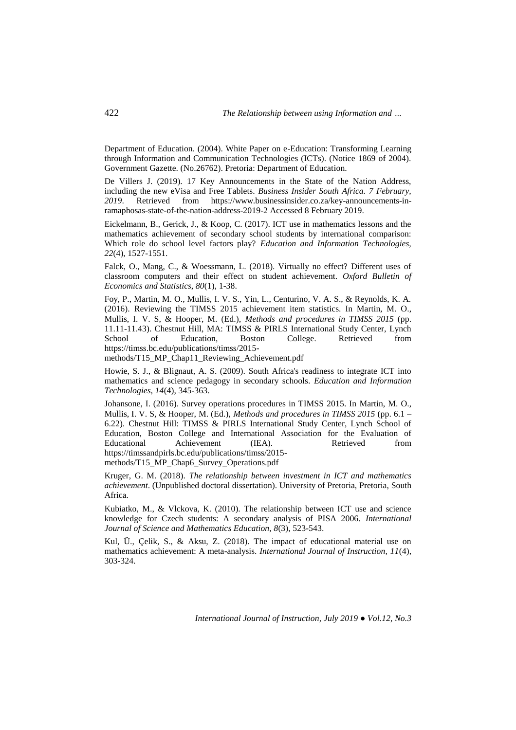Department of Education. (2004). White Paper on e-Education: Transforming Learning through Information and Communication Technologies (ICTs). (Notice 1869 of 2004). Government Gazette. (No.26762). Pretoria: Department of Education.

De Villers J. (2019). 17 Key Announcements in the State of the Nation Address, including the new eVisa and Free Tablets. *Business Insider South Africa. 7 February, 2019*. Retrieved from https://www.businessinsider.co.za/key-announcements-inramaphosas-state-of-the-nation-address-2019-2 Accessed 8 February 2019.

Eickelmann, B., Gerick, J., & Koop, C. (2017). ICT use in mathematics lessons and the mathematics achievement of secondary school students by international comparison: Which role do school level factors play? *Education and Information Technologies, 22*(4), 1527-1551.

Falck, O., Mang, C., & Woessmann, L. (2018). Virtually no effect? Different uses of classroom computers and their effect on student achievement. *Oxford Bulletin of Economics and Statistics*, *80*(1), 1-38.

Foy, P., Martin, M. O., Mullis, I. V. S., Yin, L., Centurino, V. A. S., & Reynolds, K. A. (2016). Reviewing the TIMSS 2015 achievement item statistics. In Martin, M. O., Mullis, I. V. S, & Hooper, M. (Ed.), *Methods and procedures in TIMSS 2015* (pp. 11.11-11.43). Chestnut Hill, MA: TIMSS & PIRLS International Study Center, Lynch<br>School of Education. Boston College. Retrieved from School of Education, Boston College. Retrieved from https://timss.bc.edu/publications/timss/2015-

methods/T15\_MP\_Chap11\_Reviewing\_Achievement.pdf

Howie, S. J., & Blignaut, A. S. (2009). South Africa's readiness to integrate ICT into mathematics and science pedagogy in secondary schools. *Education and Information Technologies, 14*(4), 345-363.

Johansone, I. (2016). Survey operations procedures in TIMSS 2015. In Martin, M. O., Mullis, I. V. S, & Hooper, M. (Ed.), *Methods and procedures in TIMSS 2015* (pp. 6.1 – 6.22). Chestnut Hill: TIMSS & PIRLS International Study Center, Lynch School of Education, Boston College and International Association for the Evaluation of Educational Achievement (IEA). Retrieved from https://timssandpirls.bc.edu/publications/timss/2015 methods/T15\_MP\_Chap6\_Survey\_Operations.pdf

Kruger, G. M. (2018). *The relationship between investment in ICT and mathematics achievement*. (Unpublished doctoral dissertation). University of Pretoria, Pretoria, South Africa.

Kubiatko, M., & Vlckova, K. (2010). The relationship between ICT use and science knowledge for Czech students: A secondary analysis of PISA 2006. *International Journal of Science and Mathematics Education, 8*(3), 523-543.

Kul, Ü., Çelik, S., & Aksu, Z. (2018). The impact of educational material use on mathematics achievement: A meta-analysis. *International Journal of Instruction, 11*(4), 303-324.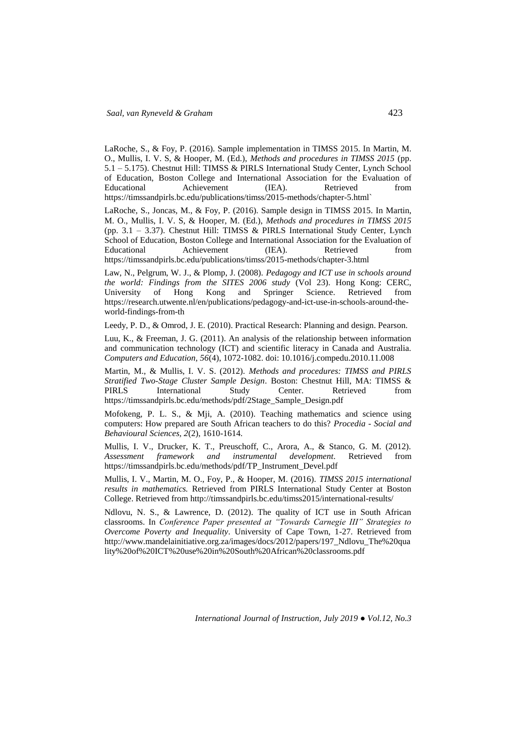LaRoche, S., & Foy, P. (2016). Sample implementation in TIMSS 2015. In Martin, M. O., Mullis, I. V. S, & Hooper, M. (Ed.), *Methods and procedures in TIMSS 2015* (pp. 5.1 – 5.175). Chestnut Hill: TIMSS & PIRLS International Study Center, Lynch School of Education, Boston College and International Association for the Evaluation of Educational Achievement (IEA). Retrieved https://timssandpirls.bc.edu/publications/timss/2015-methods/chapter-5.html`

LaRoche, S., Joncas, M., & Foy, P. (2016). Sample design in TIMSS 2015. In Martin, M. O., Mullis, I. V. S, & Hooper, M. (Ed.), *Methods and procedures in TIMSS 2015* (pp. 3.1 – 3.37). Chestnut Hill: TIMSS & PIRLS International Study Center, Lynch School of Education, Boston College and International Association for the Evaluation of Educational Achievement (IEA). Retrieved from https://timssandpirls.bc.edu/publications/timss/2015-methods/chapter-3.html

Law, N., Pelgrum, W. J., & Plomp, J. (2008). *Pedagogy and ICT use in schools around the world: Findings from the SITES 2006 study* (Vol 23). Hong Kong: CERC, University of Hong Kong and Springer Science. Retrieved from https://research.utwente.nl/en/publications/pedagogy-and-ict-use-in-schools-around-theworld-findings-from-th

Leedy, P. D., & Omrod, J. E. (2010). Practical Research: Planning and design. Pearson.

Luu, K., & Freeman, J. G. (2011). An analysis of the relationship between information and communication technology (ICT) and scientific literacy in Canada and Australia. *Computers and Education, 56*(4), 1072-1082. doi: 10.1016/j.compedu.2010.11.008

Martin, M., & Mullis, I. V. S. (2012). *Methods and procedures: TIMSS and PIRLS Stratified Two-Stage Cluster Sample Design*. Boston: Chestnut Hill, MA: TIMSS & PIRLS International Study Center. Retrieved from [https://timssandpirls.bc.edu/methods/pdf/2Stage\\_Sample\\_Design.pdf](https://timssandpirls.bc.edu/methods/pdf/2Stage_Sample_Design.pdf)

Mofokeng, P. L. S., & Mji, A. (2010). Teaching mathematics and science using computers: How prepared are South African teachers to do this? *Procedia - Social and Behavioural Sciences, 2*(2), 1610-1614.

Mullis, I. V., Drucker, K. T., Preuschoff, C., Arora, A., & Stanco, G. M. (2012).<br>Assessment framework and instrumental development. Retrieved from *Assessment framework and instrumental development*. Retrieved from https://timssandpirls.bc.edu/methods/pdf/TP\_Instrument\_Devel.pdf

Mullis, I. V., Martin, M. O., Foy, P., & Hooper, M. (2016). *TIMSS 2015 international results in mathematics.* Retrieved from PIRLS International Study Center at Boston College. Retrieved fro[m http://timssandpirls.bc.edu/timss2015/international-results/](http://timssandpirls.bc.edu/timss2015/international-results/)

Ndlovu, N. S., & Lawrence, D. (2012). The quality of ICT use in South African classrooms. In *Conference Paper presented at "Towards Carnegie III" Strategies to Overcome Poverty and Inequality*. University of Cape Town, 1-27. Retrieved from http://www.mandelainitiative.org.za/images/docs/2012/papers/197\_Ndlovu\_The%20qua lity%20of%20ICT%20use%20in%20South%20African%20classrooms.pdf